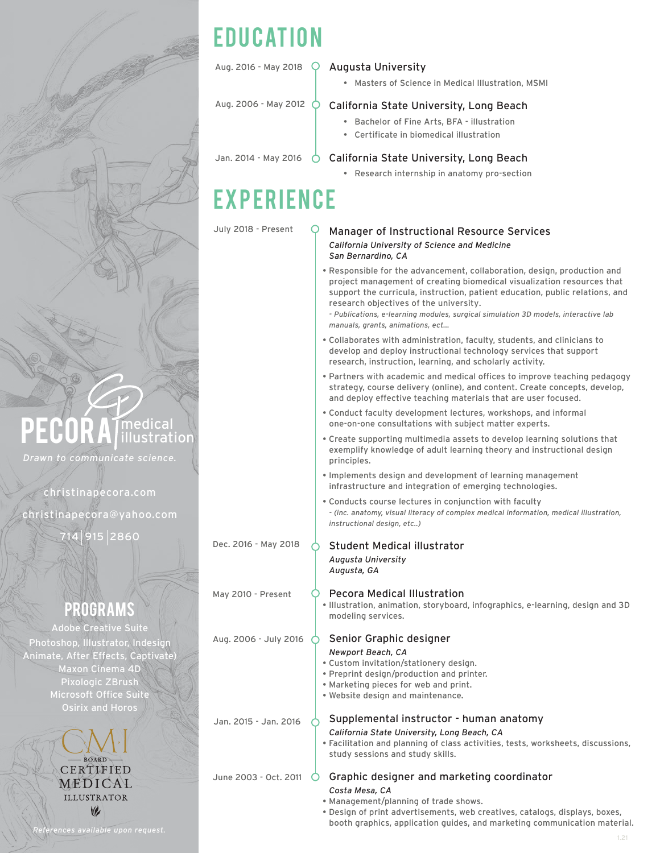

#### Aug. 2016 - May 2018 Q **Augusta University**

• Masters of Science in Medical Illustration, MSMI

Aug. 2006 - May 2012  $\bigcirc$ 

#### California State University, Long Beach

- Bachelor of Fine Arts, BFA illustration
- Certificate in biomedical illustration

Jan. 2014 - May 2016 ( California State University, Long Beach

• Research internship in anatomy pro-section

## **EXPERIENCE**

July 2018 - Present

#### Manager of Instructional Resource Services *California University of Science and Medicine San Bernardino, CA*

• Responsible for the advancement, collaboration, design, production and project management of creating biomedical visualization resources that support the curricula, instruction, patient education, public relations, and research objectives of the university.

*- Publications, e-learning modules, surgical simulation 3D models, interactive lab manuals, grants, animations, ect...*

- Collaborates with administration, faculty, students, and clinicians to develop and deploy instructional technology services that support research, instruction, learning, and scholarly activity.
- Partners with academic and medical offices to improve teaching pedagogy strategy, course delivery (online), and content. Create concepts, develop, and deploy effective teaching materials that are user focused.
- Conduct faculty development lectures, workshops, and informal one-on-one consultations with subject matter experts.
- Create supporting multimedia assets to develop learning solutions that exemplify knowledge of adult learning theory and instructional design principles.
- Implements design and development of learning management infrastructure and integration of emerging technologies.
- Conducts course lectures in conjunction with faculty *- (inc. anatomy, visual literacy of complex medical information, medical illustration, instructional design, etc..)*
- Student Medical illustrator *Augusta University Augusta, GA*

#### May 2010 - Present

Aug. 2006 - July 2016  $\circ$ 

Dec. 2016 - May 2018

Pecora Medical Illustration • Illustration, animation, storyboard, infographics, e-learning, design and 3D modeling services.

#### Senior Graphic designer

#### *Newport Beach, CA*

- Custom invitation/stationery design.
- Preprint design/production and printer.
- Marketing pieces for web and print.
- Website design and maintenance.

Jan. 2015 - Jan. 2016

#### Supplemental instructor - human anatomy *California State University, Long Beach, CA*

• Facilitation and planning of class activities, tests, worksheets, discussions, study sessions and study skills.

Graphic designer and marketing coordinator June 2003 - Oct. 2011  $\bigcirc$ 

- *Costa Mesa, CA* • Management/planning of trade shows.
- Design of print advertisements, web creatives, catalogs, displays, boxes, booth graphics, application guides, and marketing communication material.

# medical<br>illustration

*Drawn to communicate science.*

christinapecora.com

christinapecora@yahoo.com

915 2860

### programs

Adobe Creative Suite Photoshop, Illustrator, Indesign Animate, After Effects, Captivate) Maxon Cinema 4D Pixologic ZBrush Microsoft Office Suite Osirix and Horos

> CERTIFIED **MEDICAL ILLUSTRATOR**  $\vee$

*References available upon request.*